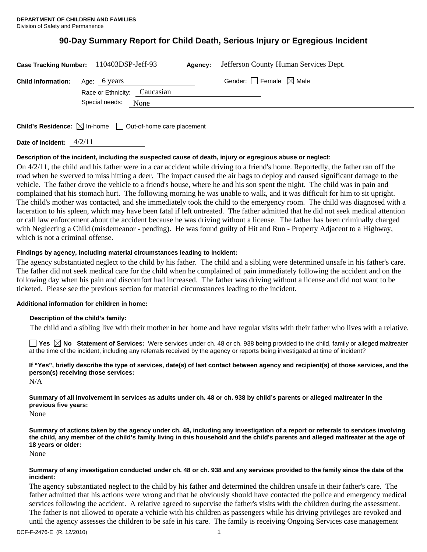# **90-Day Summary Report for Child Death, Serious Injury or Egregious Incident**

|                                        | Case Tracking Number: 110403DSP-Jeff-93 | Agency: | Jefferson County Human Services Dept. |
|----------------------------------------|-----------------------------------------|---------|---------------------------------------|
| <b>Child Information:</b> Age: 6 years | Race or Ethnicity: Caucasian            |         | Gender: Female $\boxtimes$ Male       |
|                                        | Special needs: None                     |         |                                       |
|                                        | $\sqrt{2}$                              |         |                                       |

**Child's Residence:**  $\boxtimes$  In-home  $\Box$  Out-of-home care placement

**Date of Incident:** 4/2/11

# **Description of the incident, including the suspected cause of death, injury or egregious abuse or neglect:**

On 4/2/11, the child and his father were in a car accident while driving to a friend's home. Reportedly, the father ran off the road when he swerved to miss hitting a deer. The impact caused the air bags to deploy and caused significant damage to the vehicle. The father drove the vehicle to a friend's house, where he and his son spent the night. The child was in pain and complained that his stomach hurt. The following morning he was unable to walk, and it was difficult for him to sit upright. The child's mother was contacted, and she immediately took the child to the emergency room. The child was diagnosed with a laceration to his spleen, which may have been fatal if left untreated. The father admitted that he did not seek medical attention or call law enforcement about the accident because he was driving without a license. The father has been criminally charged with Neglecting a Child (misdemeanor - pending). He was found guilty of Hit and Run - Property Adjacent to a Highway, which is not a criminal offense.

# **Findings by agency, including material circumstances leading to incident:**

The agency substantiated neglect to the child by his father. The child and a sibling were determined unsafe in his father's care. The father did not seek medical care for the child when he complained of pain immediately following the accident and on the following day when his pain and discomfort had increased. The father was driving without a license and did not want to be ticketed. Please see the previous section for material circumstances leading to the incident.

# **Additional information for children in home:**

# **Description of the child's family:**

The child and a sibling live with their mother in her home and have regular visits with their father who lives with a relative.

**Yes No Statement of Services:** Were services under ch. 48 or ch. 938 being provided to the child, family or alleged maltreater at the time of the incident, including any referrals received by the agency or reports being investigated at time of incident?

# **If "Yes", briefly describe the type of services, date(s) of last contact between agency and recipient(s) of those services, and the person(s) receiving those services:**

 $N/A$ 

**Summary of all involvement in services as adults under ch. 48 or ch. 938 by child's parents or alleged maltreater in the previous five years:** 

None

**Summary of actions taken by the agency under ch. 48, including any investigation of a report or referrals to services involving the child, any member of the child's family living in this household and the child's parents and alleged maltreater at the age of 18 years or older:** 

None

#### **Summary of any investigation conducted under ch. 48 or ch. 938 and any services provided to the family since the date of the incident:**

The agency substantiated neglect to the child by his father and determined the children unsafe in their father's care. The father admitted that his actions were wrong and that he obviously should have contacted the police and emergency medical services following the accident. A relative agreed to supervise the father's visits with the children during the assessment. The father is not allowed to operate a vehicle with his children as passengers while his driving privileges are revoked and until the agency assesses the children to be safe in his care. The family is receiving Ongoing Services case management